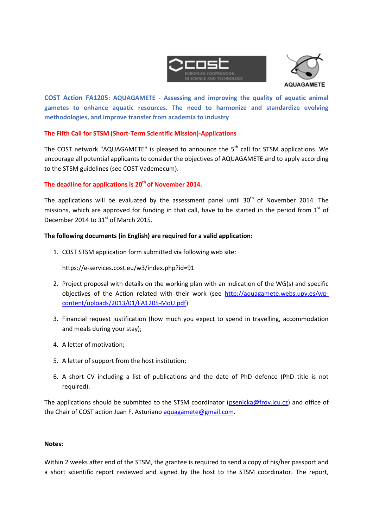



**COST Action FA1205: AQUAGAMETE - Assessing and improving the quality of aquatic animal gametes to enhance aquatic resources. The need to harmonize and standardize evolving methodologies, and improve transfer from academia to industry**

# **The Fifth Call for STSM (Short-Term Scientific Mission)-Applications**

The COST network "AQUAGAMETE" is pleased to announce the  $5<sup>th</sup>$  call for STSM applications. We encourage all potential applicants to consider the objectives of AQUAGAMETE and to apply according to the STSM guidelines (see COST Vademecum).

## **The deadline for applications is 20th of November 2014.**

The applications will be evaluated by the assessment panel until  $30<sup>th</sup>$  of November 2014. The missions, which are approved for funding in that call, have to be started in the period from  $1<sup>st</sup>$  of December 2014 to  $31<sup>st</sup>$  of March 2015.

## **The following documents (in English) are required for a valid application:**

1. COST STSM application form submitted via following web site:

https://e-services.cost.eu/w3/index.php?id=91

- 2. Project proposal with details on the working plan with an indication of the WG(s) and specific objectives of the Action related with their work (see [http://aquagamete.webs.upv.es/wp](http://aquagamete.webs.upv.es/wp-content/uploads/2013/01/FA1205-MoU.pdf)[content/uploads/2013/01/FA1205-MoU.pdf\)](http://aquagamete.webs.upv.es/wp-content/uploads/2013/01/FA1205-MoU.pdf)
- 3. Financial request justification (how much you expect to spend in travelling, accommodation and meals during your stay);
- 4. A letter of motivation;
- 5. A letter of support from the host institution;
- 6. A short CV including a list of publications and the date of PhD defence (PhD title is not required).

The applications should be submitted to the STSM coordinator [\(psenicka@frov.jcu.cz\)](mailto:psenicka@frov.jcu.cz) and office of the Chair of COST action Juan F. Asturiano [aquagamete@gmail.com.](mailto:aquagamete@gmail.com)

### **Notes:**

Within 2 weeks after end of the STSM, the grantee is required to send a copy of his/her passport and a short scientific report reviewed and signed by the host to the STSM coordinator. The report,